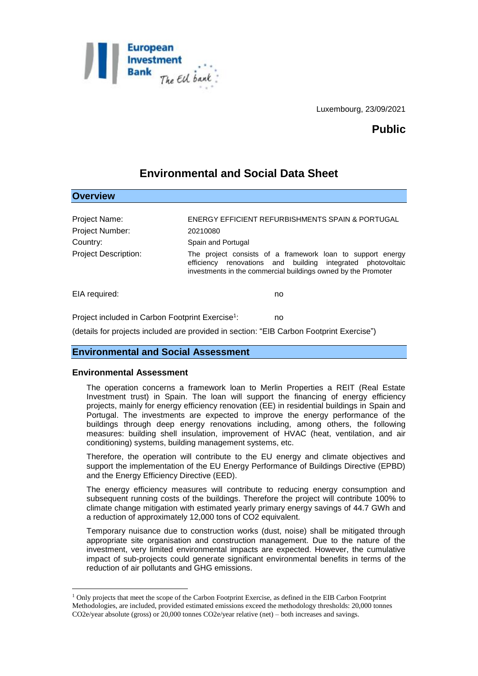

Luxembourg, 23/09/2021

# **Public**

# **Environmental and Social Data Sheet**

| <b>Overview</b>             |                                                                                                                                                                                               |
|-----------------------------|-----------------------------------------------------------------------------------------------------------------------------------------------------------------------------------------------|
|                             |                                                                                                                                                                                               |
| Project Name:               | <b>ENERGY EFFICIENT REFURBISHMENTS SPAIN &amp; PORTUGAL</b>                                                                                                                                   |
| Project Number:             | 20210080                                                                                                                                                                                      |
| Country:                    | Spain and Portugal                                                                                                                                                                            |
| <b>Project Description:</b> | The project consists of a framework loan to support energy<br>efficiency renovations and building integrated<br>photovoltaic<br>investments in the commercial buildings owned by the Promoter |
| EIA required:               | no                                                                                                                                                                                            |
|                             |                                                                                                                                                                                               |

Project included in Carbon Footprint Exercise<sup>1</sup>: : no

(details for projects included are provided in section: "EIB Carbon Footprint Exercise")

### **Environmental and Social Assessment**

### **Environmental Assessment**

1

The operation concerns a framework loan to Merlin Properties a REIT (Real Estate Investment trust) in Spain. The loan will support the financing of energy efficiency projects, mainly for energy efficiency renovation (EE) in residential buildings in Spain and Portugal. The investments are expected to improve the energy performance of the buildings through deep energy renovations including, among others, the following measures: building shell insulation, improvement of HVAC (heat, ventilation, and air conditioning) systems, building management systems, etc.

Therefore, the operation will contribute to the EU energy and climate objectives and support the implementation of the EU Energy Performance of Buildings Directive (EPBD) and the Energy Efficiency Directive (EED).

The energy efficiency measures will contribute to reducing energy consumption and subsequent running costs of the buildings. Therefore the project will contribute 100% to climate change mitigation with estimated yearly primary energy savings of 44.7 GWh and a reduction of approximately 12,000 tons of CO2 equivalent.

Temporary nuisance due to construction works (dust, noise) shall be mitigated through appropriate site organisation and construction management. Due to the nature of the investment, very limited environmental impacts are expected. However, the cumulative impact of sub-projects could generate significant environmental benefits in terms of the reduction of air pollutants and GHG emissions.

<sup>1</sup> Only projects that meet the scope of the Carbon Footprint Exercise, as defined in the EIB Carbon Footprint Methodologies, are included, provided estimated emissions exceed the methodology thresholds: 20,000 tonnes CO2e/year absolute (gross) or 20,000 tonnes CO2e/year relative (net) – both increases and savings.